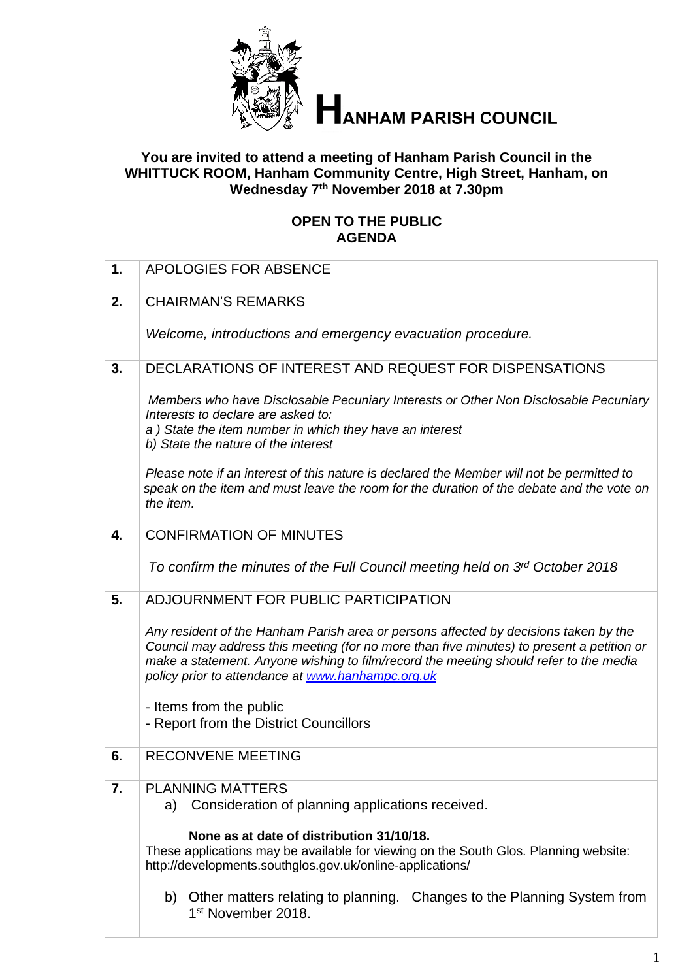

# **ANHAM PARISH COUNCIL**

## **You are invited to attend a meeting of Hanham Parish Council in the WHITTUCK ROOM, Hanham Community Centre, High Street, Hanham, on Wednesday 7 th November 2018 at 7.30pm**

## **OPEN TO THE PUBLIC AGENDA**

| 1. | <b>APOLOGIES FOR ABSENCE</b>                                                                                                                                                                                                                                                                                                    |
|----|---------------------------------------------------------------------------------------------------------------------------------------------------------------------------------------------------------------------------------------------------------------------------------------------------------------------------------|
| 2. | <b>CHAIRMAN'S REMARKS</b>                                                                                                                                                                                                                                                                                                       |
|    | Welcome, introductions and emergency evacuation procedure.                                                                                                                                                                                                                                                                      |
| 3. | DECLARATIONS OF INTEREST AND REQUEST FOR DISPENSATIONS                                                                                                                                                                                                                                                                          |
|    | Members who have Disclosable Pecuniary Interests or Other Non Disclosable Pecuniary<br>Interests to declare are asked to:<br>a) State the item number in which they have an interest<br>b) State the nature of the interest                                                                                                     |
|    | Please note if an interest of this nature is declared the Member will not be permitted to<br>speak on the item and must leave the room for the duration of the debate and the vote on<br>the item.                                                                                                                              |
| 4. | <b>CONFIRMATION OF MINUTES</b>                                                                                                                                                                                                                                                                                                  |
|    | To confirm the minutes of the Full Council meeting held on 3rd October 2018                                                                                                                                                                                                                                                     |
| 5. | ADJOURNMENT FOR PUBLIC PARTICIPATION                                                                                                                                                                                                                                                                                            |
|    | Any resident of the Hanham Parish area or persons affected by decisions taken by the<br>Council may address this meeting (for no more than five minutes) to present a petition or<br>make a statement. Anyone wishing to film/record the meeting should refer to the media<br>policy prior to attendance at www.hanhampc.org.uk |
|    | - Items from the public<br>- Report from the District Councillors                                                                                                                                                                                                                                                               |
| 6. | <b>RECONVENE MEETING</b>                                                                                                                                                                                                                                                                                                        |
| 7. | <b>PLANNING MATTERS</b><br>Consideration of planning applications received.<br>a)                                                                                                                                                                                                                                               |
|    | None as at date of distribution 31/10/18.<br>These applications may be available for viewing on the South Glos. Planning website:<br>http://developments.southglos.gov.uk/online-applications/                                                                                                                                  |
|    | b) Other matters relating to planning. Changes to the Planning System from<br>1 <sup>st</sup> November 2018.                                                                                                                                                                                                                    |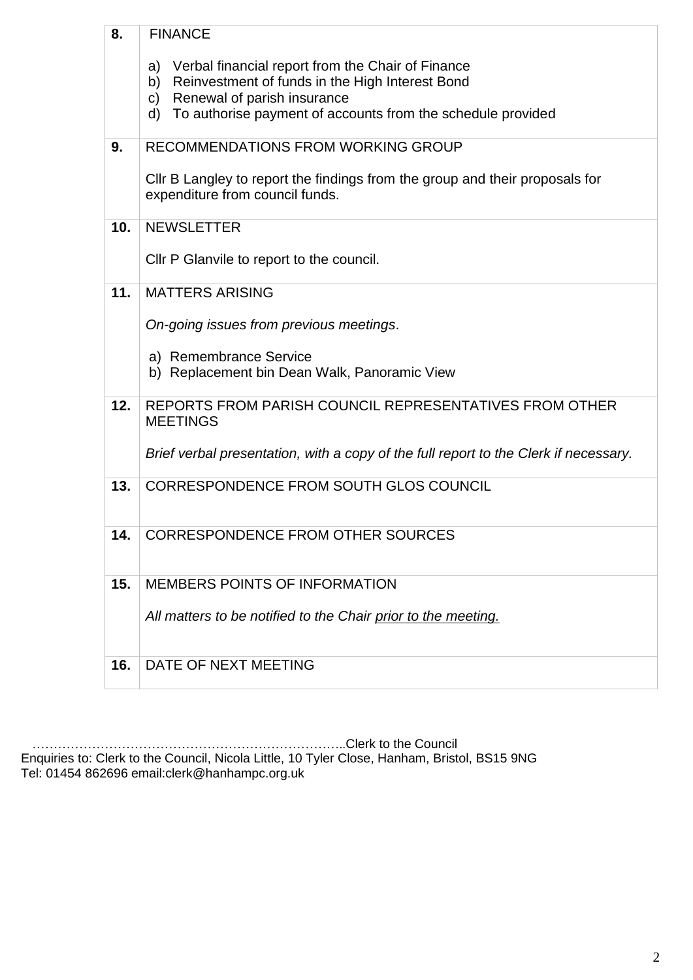| 8.  | <b>FINANCE</b>                                                                                                                                                                                                             |
|-----|----------------------------------------------------------------------------------------------------------------------------------------------------------------------------------------------------------------------------|
|     | Verbal financial report from the Chair of Finance<br>a)<br>Reinvestment of funds in the High Interest Bond<br>b)<br>Renewal of parish insurance<br>C)<br>To authorise payment of accounts from the schedule provided<br>d) |
| 9.  | <b>RECOMMENDATIONS FROM WORKING GROUP</b>                                                                                                                                                                                  |
|     | CIIr B Langley to report the findings from the group and their proposals for<br>expenditure from council funds.                                                                                                            |
| 10. | <b>NEWSLETTER</b>                                                                                                                                                                                                          |
|     | CIIr P Glanvile to report to the council.                                                                                                                                                                                  |
| 11. | <b>MATTERS ARISING</b>                                                                                                                                                                                                     |
|     | On-going issues from previous meetings.                                                                                                                                                                                    |
|     | a) Remembrance Service<br>b) Replacement bin Dean Walk, Panoramic View                                                                                                                                                     |
| 12. | REPORTS FROM PARISH COUNCIL REPRESENTATIVES FROM OTHER<br><b>MEETINGS</b>                                                                                                                                                  |
|     | Brief verbal presentation, with a copy of the full report to the Clerk if necessary.                                                                                                                                       |
| 13. | CORRESPONDENCE FROM SOUTH GLOS COUNCIL                                                                                                                                                                                     |
| 14. | <b>CORRESPONDENCE FROM OTHER SOURCES</b>                                                                                                                                                                                   |
|     |                                                                                                                                                                                                                            |
| 15. | <b>MEMBERS POINTS OF INFORMATION</b>                                                                                                                                                                                       |
|     | All matters to be notified to the Chair prior to the meeting.                                                                                                                                                              |
| 16. | DATE OF NEXT MEETING                                                                                                                                                                                                       |
|     |                                                                                                                                                                                                                            |

 ………………………………………………………………..Clerk to the Council Enquiries to: Clerk to the Council, Nicola Little, 10 Tyler Close, Hanham, Bristol, BS15 9NG Tel: 01454 862696 email:clerk@hanhampc.org.uk